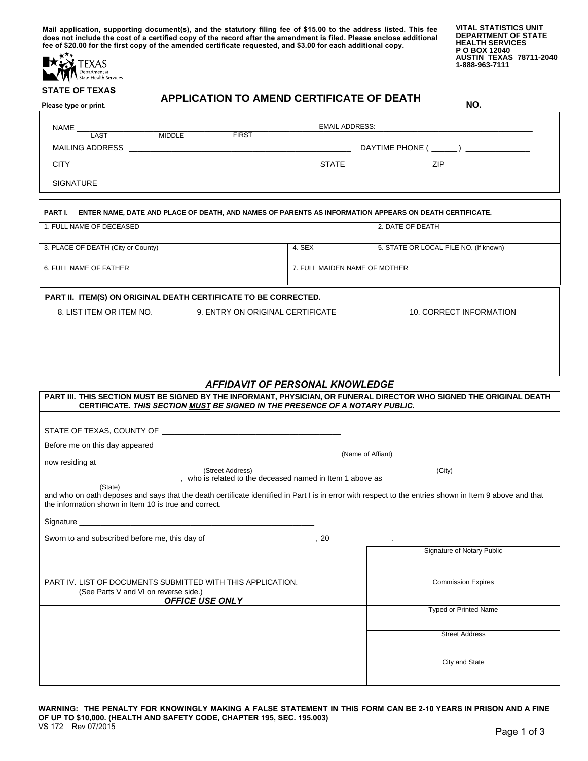| Mail application, supporting document(s), and the statutory filing fee of \$15.00 to the address listed. This fee   |
|---------------------------------------------------------------------------------------------------------------------|
| does not include the cost of a certified copy of the record after the amendment is filed. Please enclose additional |
| fee of \$20.00 for the first copy of the amended certificate requested, and \$3.00 for each additional copy.        |



# **STATE OF TEXAS**

**VITAL STATISTICS UNIT DEPARTMENT OF STATE HEALTH SERVICES P O BOX 12040 AUSTIN TEXAS 78711-2040 1-888-963-7111**

**Please type or print.**

 **APPLICATION TO AMEND CERTIFICATE OF DEATH NO.**

| <b>NAME</b>            |               |              | <b>EMAIL ADDRESS:</b> |                                                                                                                                                                                                                                    |
|------------------------|---------------|--------------|-----------------------|------------------------------------------------------------------------------------------------------------------------------------------------------------------------------------------------------------------------------------|
| LAST                   | <b>MIDDLE</b> | <b>FIRST</b> |                       |                                                                                                                                                                                                                                    |
| <b>MAILING ADDRESS</b> |               |              | DAYTIME PHONE (       | $\mathcal{L}$ . The contract of the contract of the contract of the contract of the contract of the contract of the contract of the contract of the contract of the contract of the contract of the contract of the contract of th |
| CITY                   |               |              | <b>STATE</b>          | ZIP                                                                                                                                                                                                                                |
| <b>SIGNATURE</b>       |               |              |                       |                                                                                                                                                                                                                                    |

| PART I.                                                                |                                  |                               | ENTER NAME, DATE AND PLACE OF DEATH, AND NAMES OF PARENTS AS INFORMATION APPEARS ON DEATH CERTIFICATE. |  |
|------------------------------------------------------------------------|----------------------------------|-------------------------------|--------------------------------------------------------------------------------------------------------|--|
| 1. FULL NAME OF DECEASED                                               |                                  |                               | 2. DATE OF DEATH                                                                                       |  |
| 3. PLACE OF DEATH (City or County)                                     |                                  | 4. SEX                        | 5. STATE OR LOCAL FILE NO. (If known)                                                                  |  |
| 6. FULL NAME OF FATHER                                                 |                                  | 7. FULL MAIDEN NAME OF MOTHER |                                                                                                        |  |
| <b>PART II. ITEM(S) ON ORIGINAL DEATH CERTIFICATE TO BE CORRECTED.</b> |                                  |                               |                                                                                                        |  |
| 8. LIST ITEM OR ITEM NO.                                               | 9. ENTRY ON ORIGINAL CERTIFICATE |                               | 10. CORRECT INFORMATION                                                                                |  |
|                                                                        |                                  |                               |                                                                                                        |  |
|                                                                        |                                  |                               |                                                                                                        |  |
|                                                                        |                                  |                               |                                                                                                        |  |
|                                                                        |                                  |                               |                                                                                                        |  |

## *AFFIDAVIT OF PERSONAL KNOWLEDGE*

| PART III. THIS SECTION MUST BE SIGNED BY THE INFORMANT, PHYSICIAN, OR FUNERAL DIRECTOR WHO SIGNED THE ORIGINAL DEATH<br>CERTIFICATE. THIS SECTION MUST BE SIGNED IN THE PRESENCE OF A NOTARY PUBLIC.                                      |                              |
|-------------------------------------------------------------------------------------------------------------------------------------------------------------------------------------------------------------------------------------------|------------------------------|
|                                                                                                                                                                                                                                           |                              |
|                                                                                                                                                                                                                                           |                              |
|                                                                                                                                                                                                                                           |                              |
|                                                                                                                                                                                                                                           |                              |
| The same state of the state of the deceased named in Item 1 above as well as a series of the state of the state of the deceased named in Item 1 above as well as the state of the state of the state of the state of the state<br>(State) | (City)                       |
| and who on oath deposes and says that the death certificate identified in Part I is in error with respect to the entries shown in Item 9 above and that<br>the information shown in Item 10 is true and correct.                          |                              |
| Signature experience and the state of the state of the state of the state of the state of the state of the state of the state of the state of the state of the state of the state of the state of the state of the state of th            |                              |
|                                                                                                                                                                                                                                           |                              |
|                                                                                                                                                                                                                                           | Signature of Notary Public   |
| PART IV. LIST OF DOCUMENTS SUBMITTED WITH THIS APPLICATION.<br>(See Parts V and VI on reverse side.)<br><b>OFFICE USE ONLY</b>                                                                                                            | <b>Commission Expires</b>    |
|                                                                                                                                                                                                                                           | <b>Typed or Printed Name</b> |
|                                                                                                                                                                                                                                           | <b>Street Address</b>        |
|                                                                                                                                                                                                                                           | City and State               |

**WARNING: THE PENALTY FOR KNOWINGLY MAKING A FALSE STATEMENT IN THIS FORM CAN BE 2-10 YEARS IN PRISON AND A FINE OF UP TO \$10,000. (HEALTH AND SAFETY CODE, CHAPTER 195, SEC. 195.003)**  VS 172 Rev 07/2015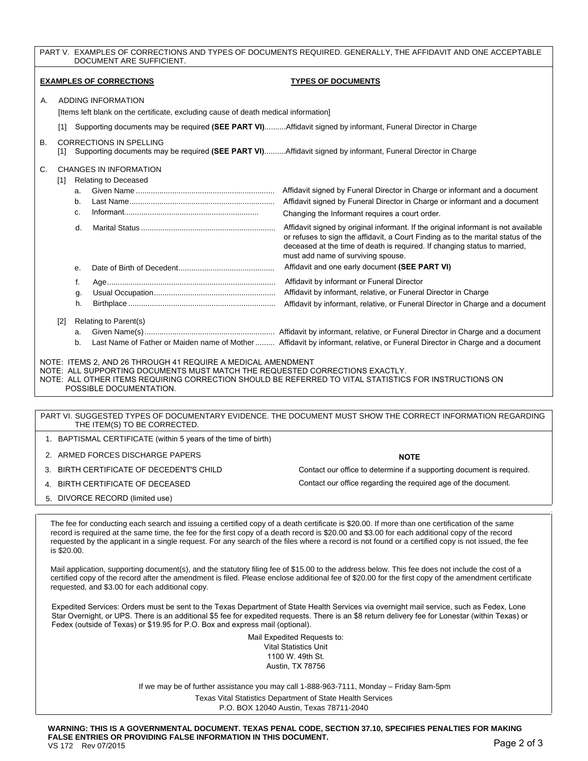#### PART V. EXAMPLES OF CORRECTIONS AND TYPES OF DOCUMENTS REQUIRED. GENERALLY, THE AFFIDAVIT AND ONE ACCEPTABLE DOCUMENT ARE SUFFICIENT.

|    |                                                                                                                    | <b>EXAMPLES OF CORRECTIONS</b>                                                                                                                                          | <b>TYPES OF DOCUMENTS</b>                                                                                                                                                                                                                                                                  |  |  |  |  |  |  |
|----|--------------------------------------------------------------------------------------------------------------------|-------------------------------------------------------------------------------------------------------------------------------------------------------------------------|--------------------------------------------------------------------------------------------------------------------------------------------------------------------------------------------------------------------------------------------------------------------------------------------|--|--|--|--|--|--|
| Α. |                                                                                                                    | <b>ADDING INFORMATION</b><br>[Items left blank on the certificate, excluding cause of death medical information]                                                        |                                                                                                                                                                                                                                                                                            |  |  |  |  |  |  |
|    | Supporting documents may be required (SEE PART VI)Affidavit signed by informant, Funeral Director in Charge<br>[1] |                                                                                                                                                                         |                                                                                                                                                                                                                                                                                            |  |  |  |  |  |  |
| В. | [1]                                                                                                                | <b>CORRECTIONS IN SPELLING</b>                                                                                                                                          | Supporting documents may be required (SEE PART VI)Affidavit signed by informant, Funeral Director in Charge                                                                                                                                                                                |  |  |  |  |  |  |
| C. | [1]                                                                                                                | <b>CHANGES IN INFORMATION</b><br><b>Relating to Deceased</b>                                                                                                            |                                                                                                                                                                                                                                                                                            |  |  |  |  |  |  |
|    | a.<br>b.                                                                                                           |                                                                                                                                                                         | Affidavit signed by Funeral Director in Charge or informant and a document<br>Affidavit signed by Funeral Director in Charge or informant and a document                                                                                                                                   |  |  |  |  |  |  |
|    | c.                                                                                                                 |                                                                                                                                                                         | Changing the Informant requires a court order.                                                                                                                                                                                                                                             |  |  |  |  |  |  |
|    | d.                                                                                                                 |                                                                                                                                                                         | Affidavit signed by original informant. If the original informant is not available<br>or refuses to sign the affidavit, a Court Finding as to the marital status of the<br>deceased at the time of death is required. If changing status to married,<br>must add name of surviving spouse. |  |  |  |  |  |  |
|    | е.                                                                                                                 |                                                                                                                                                                         | Affidavit and one early document (SEE PART VI)                                                                                                                                                                                                                                             |  |  |  |  |  |  |
|    | f.<br>g.<br>h.                                                                                                     |                                                                                                                                                                         | Affidavit by informant or Funeral Director<br>Affidavit by informant, relative, or Funeral Director in Charge<br>Affidavit by informant, relative, or Funeral Director in Charge and a document                                                                                            |  |  |  |  |  |  |
|    | $\lceil 2 \rceil$                                                                                                  | Relating to Parent(s)                                                                                                                                                   |                                                                                                                                                                                                                                                                                            |  |  |  |  |  |  |
|    | a.<br>b.                                                                                                           |                                                                                                                                                                         | Last Name of Father or Maiden name of Mother  Affidavit by informant, relative, or Funeral Director in Charge and a document                                                                                                                                                               |  |  |  |  |  |  |
|    |                                                                                                                    | NOTE: ITEMS 2, AND 26 THROUGH 41 REQUIRE A MEDICAL AMENDMENT<br>NOTE: ALL SUPPORTING DOCUMENTS MUST MATCH THE REQUESTED CORRECTIONS EXACTLY.<br>POSSIBLE DOCUMENTATION. | NOTE: ALL OTHER ITEMS REQUIRING CORRECTION SHOULD BE REFERRED TO VITAL STATISTICS FOR INSTRUCTIONS ON                                                                                                                                                                                      |  |  |  |  |  |  |
|    |                                                                                                                    |                                                                                                                                                                         |                                                                                                                                                                                                                                                                                            |  |  |  |  |  |  |
|    |                                                                                                                    |                                                                                                                                                                         | DART UL QUOCECTER TVDEC OF BOOUMENTARY EVIDEMOF. THE BOOUMENT MUCT CHOM/THE CORRECT INFORMATION RECARDING                                                                                                                                                                                  |  |  |  |  |  |  |

## PART VI. SUGGESTED TYPES OF DOCUMENTARY EVIDENCE. THE DOCUMENT MUST SHOW THE CORRECT INFORMATION REGARDING THE ITEM(S) TO BE CORRECTED.

- 1. BAPTISMAL CERTIFICATE (within 5 years of the time of birth)
- 2. ARMED FORCES DISCHARGE PAPERS
- 3. BIRTH CERTIFICATE OF DECEDENT'S CHILD
- 4. BIRTH CERTIFICATE OF DECEASED

Contact our office to determine if a supporting document is required. Contact our office regarding the required age of the document. **NOTE**

5. DIVORCE RECORD (limited use)

The fee for conducting each search and issuing a certified copy of a death certificate is \$20.00. If more than one certification of the same record is required at the same time, the fee for the first copy of a death record is \$20.00 and \$3.00 for each additional copy of the record requested by the applicant in a single request. For any search of the files where a record is not found or a certified copy is not issued, the fee is \$20.00.

Mail application, supporting document(s), and the statutory filing fee of \$15.00 to the address below. This fee does not include the cost of a certified copy of the record after the amendment is filed. Please enclose additional fee of \$20.00 for the first copy of the amendment certificate requested, and \$3.00 for each additional copy.

Expedited Services: Orders must be sent to the Texas Department of State Health Services via overnight mail service, such as Fedex, Lone Star Overnight, or UPS. There is an additional \$5 fee for expedited requests. There is an \$8 return delivery fee for Lonestar (within Texas) or Fedex (outside of Texas) or \$19.95 for P.O. Box and express mail (optional).

> Mail Expedited Requests to: Vital Statistics Unit 1100 W. 49th St. Austin, TX 78756

If we may be of further assistance you may call 1-888-963-7111, Monday – Friday 8am-5pm Texas Vital Statistics Department of State Health Services P.O. BOX 12040 Austin, Texas 78711-2040